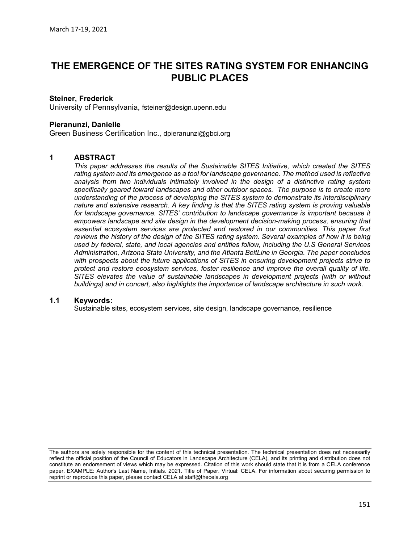# THE EMERGENCE OF THE SITES RATING SYSTEM FOR ENHANCING PUBLIC PLACES

#### Steiner, Frederick

University of Pennsylvania, fsteiner@design.upenn.edu

#### Pieranunzi, Danielle

Green Business Certification Inc., dpieranunzi@gbci.org

#### 1 ABSTRACT

This paper addresses the results of the Sustainable SITES Initiative, which created the SITES rating system and its emergence as a tool for landscape governance. The method used is reflective analysis from two individuals intimately involved in the design of a distinctive rating system specifically geared toward landscapes and other outdoor spaces. The purpose is to create more understanding of the process of developing the SITES system to demonstrate its interdisciplinary nature and extensive research. A key finding is that the SITES rating system is proving valuable for landscape governance. SITES' contribution to landscape governance is important because it empowers landscape and site design in the development decision-making process, ensuring that essential ecosystem services are protected and restored in our communities. This paper first reviews the history of the design of the SITES rating system. Several examples of how it is being used by federal, state, and local agencies and entities follow, including the U.S General Services Administration, Arizona State University, and the Atlanta BeltLine in Georgia. The paper concludes with prospects about the future applications of SITES in ensuring development projects strive to protect and restore ecosystem services, foster resilience and improve the overall quality of life. SITES elevates the value of sustainable landscapes in development projects (with or without buildings) and in concert, also highlights the importance of landscape architecture in such work.

## 1.1 Keywords:

Sustainable sites, ecosystem services, site design, landscape governance, resilience

The authors are solely responsible for the content of this technical presentation. The technical presentation does not necessarily reflect the official position of the Council of Educators in Landscape Architecture (CELA), and its printing and distribution does not constitute an endorsement of views which may be expressed. Citation of this work should state that it is from a CELA conference paper. EXAMPLE: Author's Last Name, Initials. 2021. Title of Paper. Virtual: CELA. For information about securing permission to reprint or reproduce this paper, please contact CELA at staff@thecela.org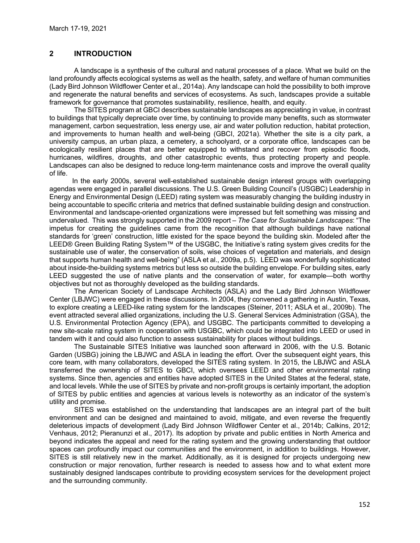# 2 INTRODUCTION

A landscape is a synthesis of the cultural and natural processes of a place. What we build on the land profoundly affects ecological systems as well as the health, safety, and welfare of human communities (Lady Bird Johnson Wildflower Center et al., 2014a). Any landscape can hold the possibility to both improve and regenerate the natural benefits and services of ecosystems. As such, landscapes provide a suitable framework for governance that promotes sustainability, resilience, health, and equity.

The SITES program at GBCI describes sustainable landscapes as appreciating in value, in contrast to buildings that typically depreciate over time, by continuing to provide many benefits, such as stormwater management, carbon sequestration, less energy use, air and water pollution reduction, habitat protection, and improvements to human health and well-being (GBCI, 2021a). Whether the site is a city park, a university campus, an urban plaza, a cemetery, a schoolyard, or a corporate office, landscapes can be ecologically resilient places that are better equipped to withstand and recover from episodic floods, hurricanes, wildfires, droughts, and other catastrophic events, thus protecting property and people. Landscapes can also be designed to reduce long-term maintenance costs and improve the overall quality of life.

 In the early 2000s, several well-established sustainable design interest groups with overlapping agendas were engaged in parallel discussions. The U.S. Green Building Council's (USGBC) Leadership in Energy and Environmental Design (LEED) rating system was measurably changing the building industry in being accountable to specific criteria and metrics that defined sustainable building design and construction. Environmental and landscape-oriented organizations were impressed but felt something was missing and undervalued. This was strongly supported in the 2009 report – The Case for Sustainable Landscapes: "The impetus for creating the guidelines came from the recognition that although buildings have national standards for 'green' construction, little existed for the space beyond the building skin. Modeled after the LEED® Green Building Rating System™ of the USGBC, the Initiative's rating system gives credits for the sustainable use of water, the conservation of soils, wise choices of vegetation and materials, and design that supports human health and well-being" (ASLA et al., 2009a, p.5). LEED was wonderfully sophisticated about inside-the-building systems metrics but less so outside the building envelope. For building sites, early LEED suggested the use of native plants and the conservation of water, for example—both worthy objectives but not as thoroughly developed as the building standards.

The American Society of Landscape Architects (ASLA) and the Lady Bird Johnson Wildflower Center (LBJWC) were engaged in these discussions. In 2004, they convened a gathering in Austin, Texas, to explore creating a LEED-like rating system for the landscapes (Steiner, 2011; ASLA et al., 2009b). The event attracted several allied organizations, including the U.S. General Services Administration (GSA), the U.S. Environmental Protection Agency (EPA), and USGBC. The participants committed to developing a new site-scale rating system in cooperation with USGBC, which could be integrated into LEED or used in tandem with it and could also function to assess sustainability for places without buildings.

The Sustainable SITES Initiative was launched soon afterward in 2006, with the U.S. Botanic Garden (USBG) joining the LBJWC and ASLA in leading the effort. Over the subsequent eight years, this core team, with many collaborators, developed the SITES rating system. In 2015, the LBJWC and ASLA transferred the ownership of SITES to GBCI, which oversees LEED and other environmental rating systems. Since then, agencies and entities have adopted SITES in the United States at the federal, state, and local levels. While the use of SITES by private and non-profit groups is certainly important, the adoption of SITES by public entities and agencies at various levels is noteworthy as an indicator of the system's utility and promise.

SITES was established on the understanding that landscapes are an integral part of the built environment and can be designed and maintained to avoid, mitigate, and even reverse the frequently deleterious impacts of development (Lady Bird Johnson Wildflower Center et al., 2014b; Calkins, 2012; Venhaus, 2012; Pieranunzi et al., 2017). Its adoption by private and public entities in North America and beyond indicates the appeal and need for the rating system and the growing understanding that outdoor spaces can profoundly impact our communities and the environment, in addition to buildings. However, SITES is still relatively new in the market. Additionally, as it is designed for projects undergoing new construction or major renovation, further research is needed to assess how and to what extent more sustainably designed landscapes contribute to providing ecosystem services for the development project and the surrounding community.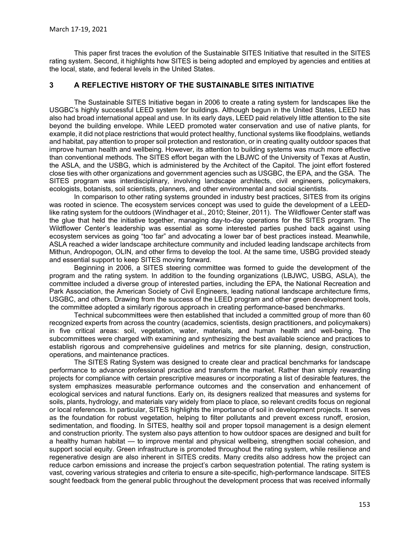This paper first traces the evolution of the Sustainable SITES Initiative that resulted in the SITES rating system. Second, it highlights how SITES is being adopted and employed by agencies and entities at the local, state, and federal levels in the United States.

### 3 A REFLECTIVE HISTORY OF THE SUSTAINABLE SITES INITIATIVE

The Sustainable SITES Initiative began in 2006 to create a rating system for landscapes like the USGBC's highly successful LEED system for buildings. Although begun in the United States, LEED has also had broad international appeal and use. In its early days, LEED paid relatively little attention to the site beyond the building envelope. While LEED promoted water conservation and use of native plants, for example, it did not place restrictions that would protect healthy, functional systems like floodplains, wetlands and habitat, pay attention to proper soil protection and restoration, or in creating quality outdoor spaces that improve human health and wellbeing. However, its attention to building systems was much more effective than conventional methods. The SITES effort began with the LBJWC of the University of Texas at Austin, the ASLA, and the USBG, which is administered by the Architect of the Capitol. The joint effort fostered close ties with other organizations and government agencies such as USGBC, the EPA, and the GSA. The SITES program was interdisciplinary, involving landscape architects, civil engineers, policymakers, ecologists, botanists, soil scientists, planners, and other environmental and social scientists.

In comparison to other rating systems grounded in industry best practices, SITES from its origins was rooted in science. The ecosystem services concept was used to guide the development of a LEEDlike rating system for the outdoors (Windhager et al., 2010; Steiner, 2011). The Wildflower Center staff was the glue that held the initiative together, managing day-to-day operations for the SITES program. The Wildflower Center's leadership was essential as some interested parties pushed back against using ecosystem services as going "too far" and advocating a lower bar of best practices instead. Meanwhile, ASLA reached a wider landscape architecture community and included leading landscape architects from Mithun, Andropogon, OLIN, and other firms to develop the tool. At the same time, USBG provided steady and essential support to keep SITES moving forward.

Beginning in 2006, a SITES steering committee was formed to guide the development of the program and the rating system. In addition to the founding organizations (LBJWC, USBG, ASLA), the committee included a diverse group of interested parties, including the EPA, the National Recreation and Park Association, the American Society of Civil Engineers, leading national landscape architecture firms, USGBC, and others. Drawing from the success of the LEED program and other green development tools, the committee adopted a similarly rigorous approach in creating performance-based benchmarks.

Technical subcommittees were then established that included a committed group of more than 60 recognized experts from across the country (academics, scientists, design practitioners, and policymakers) in five critical areas: soil, vegetation, water, materials, and human health and well-being. The subcommittees were charged with examining and synthesizing the best available science and practices to establish rigorous and comprehensive guidelines and metrics for site planning, design, construction, operations, and maintenance practices.

The SITES Rating System was designed to create clear and practical benchmarks for landscape performance to advance professional practice and transform the market. Rather than simply rewarding projects for compliance with certain prescriptive measures or incorporating a list of desirable features, the system emphasizes measurable performance outcomes and the conservation and enhancement of ecological services and natural functions. Early on, its designers realized that measures and systems for soils, plants, hydrology, and materials vary widely from place to place, so relevant credits focus on regional or local references. In particular, SITES highlights the importance of soil in development projects. It serves as the foundation for robust vegetation, helping to filter pollutants and prevent excess runoff, erosion, sedimentation, and flooding. In SITES, healthy soil and proper topsoil management is a design element and construction priority. The system also pays attention to how outdoor spaces are designed and built for a healthy human habitat — to improve mental and physical wellbeing, strengthen social cohesion, and support social equity. Green infrastructure is promoted throughout the rating system, while resilience and regenerative design are also inherent in SITES credits. Many credits also address how the project can reduce carbon emissions and increase the project's carbon sequestration potential. The rating system is vast, covering various strategies and criteria to ensure a site-specific, high-performance landscape. SITES sought feedback from the general public throughout the development process that was received informally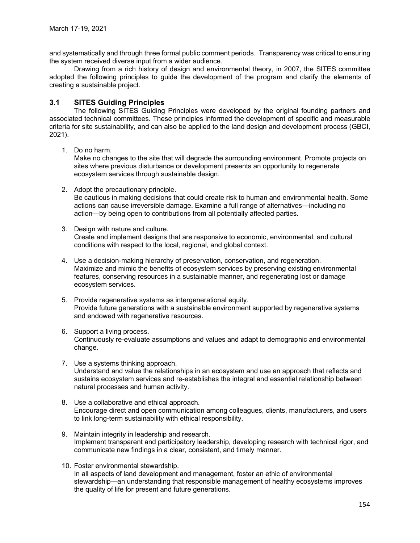and systematically and through three formal public comment periods. Transparency was critical to ensuring the system received diverse input from a wider audience.

Drawing from a rich history of design and environmental theory, in 2007, the SITES committee adopted the following principles to guide the development of the program and clarify the elements of creating a sustainable project.

## 3.1 SITES Guiding Principles

The following SITES Guiding Principles were developed by the original founding partners and associated technical committees. These principles informed the development of specific and measurable criteria for site sustainability, and can also be applied to the land design and development process (GBCI, 2021).

1. Do no harm.

Make no changes to the site that will degrade the surrounding environment. Promote projects on sites where previous disturbance or development presents an opportunity to regenerate ecosystem services through sustainable design.

- 2. Adopt the precautionary principle. Be cautious in making decisions that could create risk to human and environmental health. Some actions can cause irreversible damage. Examine a full range of alternatives—including no action—by being open to contributions from all potentially affected parties.
- 3. Design with nature and culture. Create and implement designs that are responsive to economic, environmental, and cultural conditions with respect to the local, regional, and global context.
- 4. Use a decision-making hierarchy of preservation, conservation, and regeneration. Maximize and mimic the benefits of ecosystem services by preserving existing environmental features, conserving resources in a sustainable manner, and regenerating lost or damage ecosystem services.
- 5. Provide regenerative systems as intergenerational equity. Provide future generations with a sustainable environment supported by regenerative systems and endowed with regenerative resources.
- 6. Support a living process. Continuously re-evaluate assumptions and values and adapt to demographic and environmental change.
- 7. Use a systems thinking approach. Understand and value the relationships in an ecosystem and use an approach that reflects and sustains ecosystem services and re-establishes the integral and essential relationship between natural processes and human activity.
- 8. Use a collaborative and ethical approach. Encourage direct and open communication among colleagues, clients, manufacturers, and users to link long-term sustainability with ethical responsibility.
- 9. Maintain integrity in leadership and research. Implement transparent and participatory leadership, developing research with technical rigor, and communicate new findings in a clear, consistent, and timely manner.
- 10. Foster environmental stewardship. In all aspects of land development and management, foster an ethic of environmental stewardship—an understanding that responsible management of healthy ecosystems improves the quality of life for present and future generations.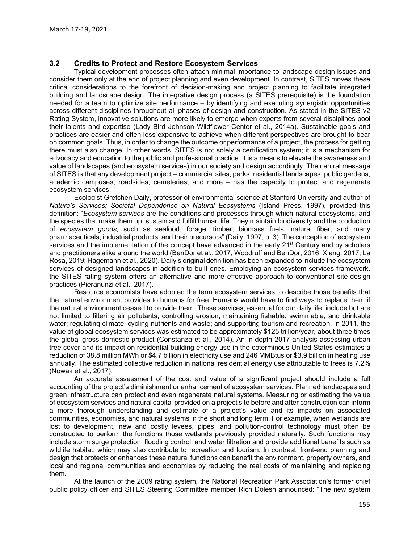#### 3.2 Credits to Protect and Restore Ecosystem Services

Typical development processes often attach minimal importance to landscape design issues and consider them only at the end of project planning and even development. In contrast, SITES moves these critical considerations to the forefront of decision-making and project planning to facilitate integrated building and landscape design. The integrative design process (a SITES prerequisite) is the foundation needed for a team to optimize site performance – by identifying and executing synergistic opportunities across different disciplines throughout all phases of design and construction. As stated in the SITES v2 Rating System, innovative solutions are more likely to emerge when experts from several disciplines pool their talents and expertise (Lady Bird Johnson Wildflower Center et al., 2014a). Sustainable goals and practices are easier and often less expensive to achieve when different perspectives are brought to bear on common goals. Thus, in order to change the outcome or performance of a project, the process for getting there must also change. In other words, SITES is not solely a certification system; it is a mechanism for advocacy and education to the public and professional practice. It is a means to elevate the awareness and value of landscapes (and ecosystem services) in our society and design accordingly. The central message of SITES is that any development project – commercial sites, parks, residential landscapes, public gardens, academic campuses, roadsides, cemeteries, and more – has the capacity to protect and regenerate ecosystem services.

Ecologist Gretchen Daily, professor of environmental science at Stanford University and author of Nature's Services: Societal Dependence on Natural Ecosystems (Island Press, 1997), provided this definition: "Ecosystem services are the conditions and processes through which natural ecosystems, and the species that make them up, sustain and fulfill human life. They maintain biodiversity and the production of ecosystem goods, such as seafood, forage, timber, biomass fuels, natural fiber, and many pharmaceuticals, industrial products, and their precursors" (Daily, 1997, p. 3). The conception of ecosystem services and the implementation of the concept have advanced in the early 21<sup>st</sup> Century and by scholars and practitioners alike around the world (BenDor et al., 2017; Woodruff and BenDor, 2016; Xiang, 2017; La Rosa, 2019; Hagemann et al., 2020). Daily's original definition has been expanded to include the ecosystem services of designed landscapes in addition to built ones. Employing an ecosystem services framework, the SITES rating system offers an alternative and more effective approach to conventional site-design practices (Pieranunzi et al., 2017).

Resource economists have adopted the term ecosystem services to describe those benefits that the natural environment provides to humans for free. Humans would have to find ways to replace them if the natural environment ceased to provide them. These services, essential for our daily life, include but are not limited to filtering air pollutants; controlling erosion; maintaining fishable, swimmable, and drinkable water; regulating climate; cycling nutrients and waste; and supporting tourism and recreation. In 2011, the value of global ecosystem services was estimated to be approximately \$125 trillion/year, about three times the global gross domestic product (Constanza et al., 2014). An in-depth 2017 analysis assessing urban tree cover and its impact on residential building energy use in the coterminous United States estimates a reduction of 38.8 million MWh or \$4.7 billion in electricity use and 246 MMBtus or \$3.9 billion in heating use annually. The estimated collective reduction in national residential energy use attributable to trees is 7.2% (Nowak et al., 2017).

An accurate assessment of the cost and value of a significant project should include a full accounting of the project's diminishment or enhancement of ecosystem services. Planned landscapes and green infrastructure can protect and even regenerate natural systems. Measuring or estimating the value of ecosystem services and natural capital provided on a project site before and after construction can inform a more thorough understanding and estimate of a project's value and its impacts on associated communities, economies, and natural systems in the short and long term. For example, when wetlands are lost to development, new and costly levees, pipes, and pollution-control technology must often be constructed to perform the functions those wetlands previously provided naturally. Such functions may include storm surge protection, flooding control, and water filtration and provide additional benefits such as wildlife habitat, which may also contribute to recreation and tourism. In contrast, front-end planning and design that protects or enhances these natural functions can benefit the environment, property owners, and local and regional communities and economies by reducing the real costs of maintaining and replacing them.

At the launch of the 2009 rating system, the National Recreation Park Association's former chief public policy officer and SITES Steering Committee member Rich Dolesh announced: "The new system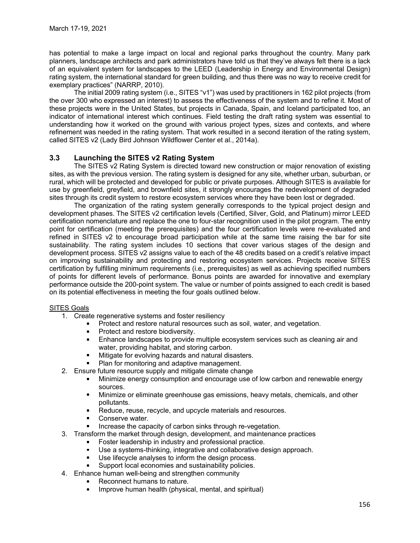has potential to make a large impact on local and regional parks throughout the country. Many park planners, landscape architects and park administrators have told us that they've always felt there is a lack of an equivalent system for landscapes to the LEED (Leadership in Energy and Environmental Design) rating system, the international standard for green building, and thus there was no way to receive credit for exemplary practices" (NARRP, 2010).

The initial 2009 rating system (i.e., SITES "v1") was used by practitioners in 162 pilot projects (from the over 300 who expressed an interest) to assess the effectiveness of the system and to refine it. Most of these projects were in the United States, but projects in Canada, Spain, and Iceland participated too, an indicator of international interest which continues. Field testing the draft rating system was essential to understanding how it worked on the ground with various project types, sizes and contexts, and where refinement was needed in the rating system. That work resulted in a second iteration of the rating system, called SITES v2 (Lady Bird Johnson Wildflower Center et al., 2014a).

## 3.3 Launching the SITES v2 Rating System

The SITES v2 Rating System is directed toward new construction or major renovation of existing sites, as with the previous version. The rating system is designed for any site, whether urban, suburban, or rural, which will be protected and developed for public or private purposes. Although SITES is available for use by greenfield, greyfield, and brownfield sites, it strongly encourages the redevelopment of degraded sites through its credit system to restore ecosystem services where they have been lost or degraded.

The organization of the rating system generally corresponds to the typical project design and development phases. The SITES v2 certification levels (Certified, Silver, Gold, and Platinum) mirror LEED certification nomenclature and replace the one to four-star recognition used in the pilot program. The entry point for certification (meeting the prerequisites) and the four certification levels were re-evaluated and refined in SITES v2 to encourage broad participation while at the same time raising the bar for site sustainability. The rating system includes 10 sections that cover various stages of the design and development process. SITES v2 assigns value to each of the 48 credits based on a credit's relative impact on improving sustainability and protecting and restoring ecosystem services. Projects receive SITES certification by fulfilling minimum requirements (i.e., prerequisites) as well as achieving specified numbers of points for different levels of performance. Bonus points are awarded for innovative and exemplary performance outside the 200-point system. The value or number of points assigned to each credit is based on its potential effectiveness in meeting the four goals outlined below.

#### SITES Goals

- 1. Create regenerative systems and foster resiliency
	- **Protect and restore natural resources such as soil, water, and vegetation.**
	- **Protect and restore biodiversity.**
	- **Enhance landscapes to provide multiple ecosystem services such as cleaning air and** water, providing habitat, and storing carbon.
	- **Mitigate for evolving hazards and natural disasters.**
	- **Plan for monitoring and adaptive management.**
- 2. Ensure future resource supply and mitigate climate change
	- **Minimize energy consumption and encourage use of low carbon and renewable energy** sources.
	- Minimize or eliminate greenhouse gas emissions, heavy metals, chemicals, and other pollutants.
	- Reduce, reuse, recycle, and upcycle materials and resources.
	- Conserve water.
	- Increase the capacity of carbon sinks through re-vegetation.
- 3. Transform the market through design, development, and maintenance practices
	- Foster leadership in industry and professional practice.
	- **Use a systems-thinking, integrative and collaborative design approach.**
	- Use lifecycle analyses to inform the design process.
	- Support local economies and sustainability policies.
- 4. Enhance human well-being and strengthen community
	- Reconnect humans to nature.
		- **IMPROVE human health (physical, mental, and spiritual)**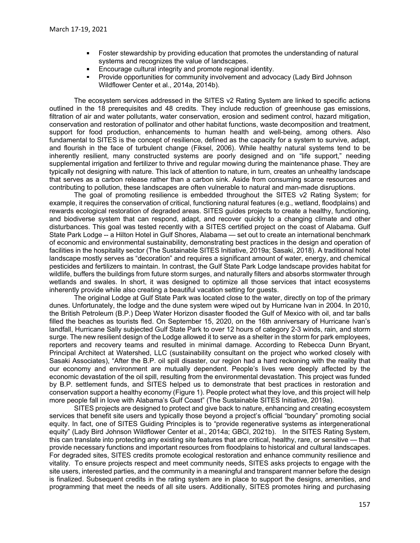- **Foster stewardship by providing education that promotes the understanding of natural** systems and recognizes the value of landscapes.
- Encourage cultural integrity and promote regional identity.  $\blacksquare$
- Provide opportunities for community involvement and advocacy (Lady Bird Johnson Wildflower Center et al., 2014a, 2014b).

The ecosystem services addressed in the SITES v2 Rating System are linked to specific actions outlined in the 18 prerequisites and 48 credits. They include reduction of greenhouse gas emissions, filtration of air and water pollutants, water conservation, erosion and sediment control, hazard mitigation, conservation and restoration of pollinator and other habitat functions, waste decomposition and treatment, support for food production, enhancements to human health and well-being, among others. Also fundamental to SITES is the concept of resilience, defined as the capacity for a system to survive, adapt, and flourish in the face of turbulent change (Fiksel, 2006). While healthy natural systems tend to be inherently resilient, many constructed systems are poorly designed and on "life support," needing supplemental irrigation and fertilizer to thrive and regular mowing during the maintenance phase. They are typically not designing with nature. This lack of attention to nature, in turn, creates an unhealthy landscape that serves as a carbon release rather than a carbon sink. Aside from consuming scarce resources and contributing to pollution, these landscapes are often vulnerable to natural and man-made disruptions.

The goal of promoting resilience is embedded throughout the SITES v2 Rating System; for example, it requires the conservation of critical, functioning natural features (e.g., wetland, floodplains) and rewards ecological restoration of degraded areas. SITES guides projects to create a healthy, functioning, and biodiverse system that can respond, adapt, and recover quickly to a changing climate and other disturbances. This goal was tested recently with a SITES certified project on the coast of Alabama. Gulf State Park Lodge -- a Hilton Hotel in Gulf Shores, Alabama -- set out to create an international benchmark of economic and environmental sustainability, demonstrating best practices in the design and operation of facilities in the hospitality sector (The Sustainable SITES Initiative, 2019a; Sasaki, 2018). A traditional hotel landscape mostly serves as "decoration" and requires a significant amount of water, energy, and chemical pesticides and fertilizers to maintain. In contrast, the Gulf State Park Lodge landscape provides habitat for wildlife, buffers the buildings from future storm surges, and naturally filters and absorbs stormwater through wetlands and swales. In short, it was designed to optimize all those services that intact ecosystems inherently provide while also creating a beautiful vacation setting for guests.

The original Lodge at Gulf State Park was located close to the water, directly on top of the primary dunes. Unfortunately, the lodge and the dune system were wiped out by Hurricane Ivan in 2004. In 2010, the British Petroleum (B.P.) Deep Water Horizon disaster flooded the Gulf of Mexico with oil, and tar balls filled the beaches as tourists fled. On September 15, 2020, on the 16th anniversary of Hurricane Ivan's landfall, Hurricane Sally subjected Gulf State Park to over 12 hours of category 2-3 winds, rain, and storm surge. The new resilient design of the Lodge allowed it to serve as a shelter in the storm for park employees, reporters and recovery teams and resulted in minimal damage. According to Rebecca Dunn Bryant, Principal Architect at Watershed, LLC (sustainability consultant on the project who worked closely with Sasaki Associates), "After the B.P. oil spill disaster, our region had a hard reckoning with the reality that our economy and environment are mutually dependent. People's lives were deeply affected by the economic devastation of the oil spill, resulting from the environmental devastation. This project was funded by B.P. settlement funds, and SITES helped us to demonstrate that best practices in restoration and conservation support a healthy economy (Figure 1). People protect what they love, and this project will help more people fall in love with Alabama's Gulf Coast" (The Sustainable SITES Initiative, 2019a).

SITES projects are designed to protect and give back to nature, enhancing and creating ecosystem services that benefit site users and typically those beyond a project's official "boundary" promoting social equity. In fact, one of SITES Guiding Principles is to "provide regenerative systems as intergenerational equity" (Lady Bird Johnson Wildflower Center et al., 2014a; GBCI, 2021b). In the SITES Rating System, this can translate into protecting any existing site features that are critical, healthy, rare, or sensitive — that provide necessary functions and important resources from floodplains to historical and cultural landscapes. For degraded sites, SITES credits promote ecological restoration and enhance community resilience and vitality. To ensure projects respect and meet community needs, SITES asks projects to engage with the site users, interested parties, and the community in a meaningful and transparent manner before the design is finalized. Subsequent credits in the rating system are in place to support the designs, amenities, and programming that meet the needs of all site users. Additionally, SITES promotes hiring and purchasing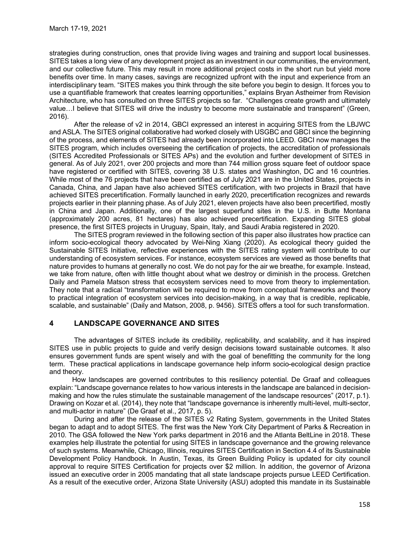strategies during construction, ones that provide living wages and training and support local businesses. SITES takes a long view of any development project as an investment in our communities, the environment, and our collective future. This may result in more additional project costs in the short run but yield more benefits over time. In many cases, savings are recognized upfront with the input and experience from an interdisciplinary team. "SITES makes you think through the site before you begin to design. It forces you to use a quantifiable framework that creates learning opportunities," explains Bryan Astheimer from Revision Architecture, who has consulted on three SITES projects so far. "Challenges create growth and ultimately value…I believe that SITES will drive the industry to become more sustainable and transparent" (Green, 2016).

After the release of v2 in 2014, GBCI expressed an interest in acquiring SITES from the LBJWC and ASLA. The SITES original collaborative had worked closely with USGBC and GBCI since the beginning of the process, and elements of SITES had already been incorporated into LEED. GBCI now manages the SITES program, which includes overseeing the certification of projects, the accreditation of professionals (SITES Accredited Professionals or SITES APs) and the evolution and further development of SITES in general. As of July 2021, over 200 projects and more than 744 million gross square feet of outdoor space have registered or certified with SITES, covering 38 U.S. states and Washington, DC and 16 countries. While most of the 76 projects that have been certified as of July 2021 are in the United States, projects in Canada, China, and Japan have also achieved SITES certification, with two projects in Brazil that have achieved SITES precertification. Formally launched in early 2020, precertification recognizes and rewards projects earlier in their planning phase. As of July 2021, eleven projects have also been precertified, mostly in China and Japan. Additionally, one of the largest superfund sites in the U.S. in Butte Montana (approximately 200 acres, 81 hectares) has also achieved precertification. Expanding SITES global presence, the first SITES projects in Uruguay, Spain, Italy, and Saudi Arabia registered in 2020.

The SITES program reviewed in the following section of this paper also illustrates how practice can inform socio-ecological theory advocated by Wei-Ning Xiang (2020). As ecological theory guided the Sustainable SITES Initiative, reflective experiences with the SITES rating system will contribute to our understanding of ecosystem services. For instance, ecosystem services are viewed as those benefits that nature provides to humans at generally no cost. We do not pay for the air we breathe, for example. Instead, we take from nature, often with little thought about what we destroy or diminish in the process. Gretchen Daily and Pamela Matson stress that ecosystem services need to move from theory to implementation. They note that a radical "transformation will be required to move from conceptual frameworks and theory to practical integration of ecosystem services into decision-making, in a way that is credible, replicable, scalable, and sustainable" (Daily and Matson, 2008, p. 9456). SITES offers a tool for such transformation.

# 4 LANDSCAPE GOVERNANCE AND SITES

The advantages of SITES include its credibility, replicability, and scalability, and it has inspired SITES use in public projects to guide and verify design decisions toward sustainable outcomes. It also ensures government funds are spent wisely and with the goal of benefitting the community for the long term. These practical applications in landscape governance help inform socio-ecological design practice and theory.

 How landscapes are governed contributes to this resiliency potential. De Graaf and colleagues explain: "Landscape governance relates to how various interests in the landscape are balanced in decisionmaking and how the rules stimulate the sustainable management of the landscape resources" (2017, p.1). Drawing on Kozar et al. (2014), they note that "landscape governance is inherently multi-level, multi-sector, and multi-actor in nature" (De Graaf et al., 2017, p. 5).

During and after the release of the SITES v2 Rating System, governments in the United States began to adapt and to adopt SITES. The first was the New York City Department of Parks & Recreation in 2010. The GSA followed the New York parks department in 2016 and the Atlanta BeltLine in 2018. These examples help illustrate the potential for using SITES in landscape governance and the growing relevance of such systems. Meanwhile, Chicago, Illinois, requires SITES Certification in Section 4.4 of its Sustainable Development Policy Handbook. In Austin, Texas, its Green Building Policy is updated for city council approval to require SITES Certification for projects over \$2 million. In addition, the governor of Arizona issued an executive order in 2005 mandating that all state landscape projects pursue LEED Certification. As a result of the executive order, Arizona State University (ASU) adopted this mandate in its Sustainable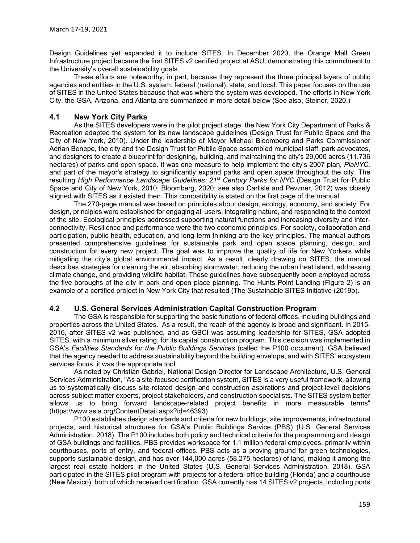Design Guidelines yet expanded it to include SITES. In December 2020, the Orange Mall Green Infrastructure project became the first SITES v2 certified project at ASU, demonstrating this commitment to the University's overall sustainability goals.

These efforts are noteworthy, in part, because they represent the three principal layers of public agencies and entities in the U.S. system: federal (national), state, and local. This paper focuses on the use of SITES in the United States because that was where the system was developed. The efforts in New York City, the GSA, Arizona, and Atlanta are summarized in more detail below (See also, Steiner, 2020.)

### 4.1 New York City Parks

As the SITES developers were in the pilot project stage, the New York City Department of Parks & Recreation adapted the system for its new landscape guidelines (Design Trust for Public Space and the City of New York, 2010). Under the leadership of Mayor Michael Bloomberg and Parks Commissioner Adrian Benepe, the city and the Design Trust for Public Space assembled municipal staff, park advocates, and designers to create a blueprint for designing, building, and maintaining the city's 29,000 acres (11,736 hectares) of parks and open space. It was one measure to help implement the city's 2007 plan, PlaNYC, and part of the mayor's strategy to significantly expand parks and open space throughout the city. The resulting High Performance Landscape Guidelines: 21<sup>st</sup> Century Parks for NYC (Design Trust for Public Space and City of New York, 2010; Bloomberg, 2020; see also Carlisle and Pevzner, 2012) was closely aligned with SITES as it existed then. This compatibility is stated on the first page of the manual.

The 270-page manual was based on principles about design, ecology, economy, and society. For design, principles were established for engaging all users, integrating nature, and responding to the context of the site. Ecological principles addressed supporting natural functions and increasing diversity and interconnectivity. Resilience and performance were the two economic principles. For society, collaboration and participation, public health, education, and long-term thinking are the key principles. The manual authors presented comprehensive guidelines for sustainable park and open space planning, design, and construction for every new project. The goal was to improve the quality of life for New Yorkers while mitigating the city's global environmental impact. As a result, clearly drawing on SITES, the manual describes strategies for cleaning the air, absorbing stormwater, reducing the urban heat island, addressing climate change, and providing wildlife habitat. These guidelines have subsequently been employed across the five boroughs of the city in park and open place planning. The Hunts Point Landing (Figure 2) is an example of a certified project in New York City that resulted (The Sustainable SITES Initiative (2019b).

### 4.2 U.S. General Services Administration Capital Construction Program

The GSA is responsible for supporting the basic functions of federal offices, including buildings and properties across the United States. As a result, the reach of the agency is broad and significant. In 2015- 2016, after SITES v2 was published, and as GBCI was assuming leadership for SITES, GSA adopted SITES, with a minimum silver rating, for its capital construction program. This decision was implemented in GSA's Facilities Standards for the Public Buildings Services (called the P100 document). GSA believed that the agency needed to address sustainability beyond the building envelope, and with SITES' ecosystem services focus, it was the appropriate tool.

As noted by Christian Gabriel, National Design Director for Landscape Architecture, U.S. General Services Administration, "As a site-focused certification system, SITES is a very useful framework, allowing us to systematically discuss site-related design and construction aspirations and project-level decisions across subject matter experts, project stakeholders, and construction specialists. The SITES system better allows us to bring forward landscape-related project benefits in more measurable terms" (https://www.asla.org/ContentDetail.aspx?id=46393).

P100 establishes design standards and criteria for new buildings, site improvements, infrastructural projects, and historical structures for GSA's Public Buildings Service (PBS) (U.S. General Services Administration, 2018). The P100 includes both policy and technical criteria for the programming and design of GSA buildings and facilities. PBS provides workspace for 1.1 million federal employees, primarily within courthouses, ports of entry, and federal offices. PBS acts as a proving ground for green technologies, supports sustainable design, and has over 144,000 acres (58,275 hectares) of land, making it among the largest real estate holders in the United States (U.S. General Services Administration, 2018). GSA participated in the SITES pilot program with projects for a federal office building (Florida) and a courthouse (New Mexico), both of which received certification. GSA currently has 14 SITES v2 projects, including ports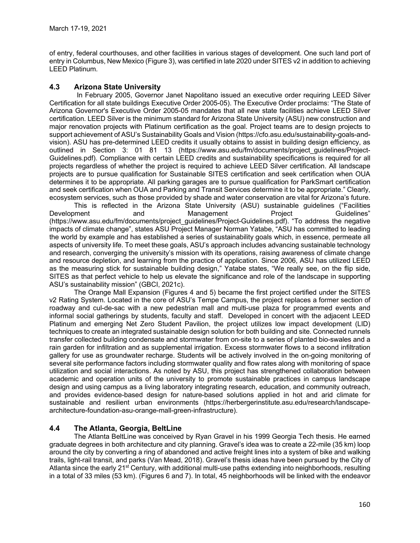of entry, federal courthouses, and other facilities in various stages of development. One such land port of entry in Columbus, New Mexico (Figure 3), was certified in late 2020 under SITES v2 in addition to achieving LEED Platinum.

# 4.3 Arizona State University

In February 2005, Governor Janet Napolitano issued an executive order requiring LEED Silver Certification for all state buildings Executive Order 2005-05). The Executive Order proclaims: "The State of Arizona Governor's Executive Order 2005-05 mandates that all new state facilities achieve LEED Silver certification. LEED Silver is the minimum standard for Arizona State University (ASU) new construction and major renovation projects with Platinum certification as the goal. Project teams are to design projects to support achievement of ASU's Sustainability Goals and Vision (https://cfo.asu.edu/sustainability-goals-andvision). ASU has pre-determined LEED credits it usually obtains to assist in building design efficiency, as outlined in Section 3: 01 81 13 (https://www.asu.edu/fm/documents/project quidelines/Project-Guidelines.pdf). Compliance with certain LEED credits and sustainability specifications is required for all projects regardless of whether the project is required to achieve LEED Silver certification. All landscape projects are to pursue qualification for Sustainable SITES certification and seek certification when OUA determines it to be appropriate. All parking garages are to pursue qualification for ParkSmart certification and seek certification when OUA and Parking and Transit Services determine it to be appropriate." Clearly, ecosystem services, such as those provided by shade and water conservation are vital for Arizona's future.

This is reflected in the Arizona State University (ASU) sustainable guidelines ("Facilities Development and Management Project Guidelines" (https://www.asu.edu/fm/documents/project\_guidelines/Project-Guidelines.pdf). "To address the negative impacts of climate change", states ASU Project Manager Norman Yatabe, "ASU has committed to leading the world by example and has established a series of sustainability goals which, in essence, permeate all aspects of university life. To meet these goals, ASU's approach includes advancing sustainable technology and research, converging the university's mission with its operations, raising awareness of climate change and resource depletion, and learning from the practice of application. Since 2006, ASU has utilized LEED as the measuring stick for sustainable building design," Yatabe states, "We really see, on the flip side, SITES as that perfect vehicle to help us elevate the significance and role of the landscape in supporting ASU's sustainability mission" (GBCI, 2021c).

The Orange Mall Expansion (Figures 4 and 5) became the first project certified under the SITES v2 Rating System. Located in the core of ASU's Tempe Campus, the project replaces a former section of roadway and cul-de-sac with a new pedestrian mall and multi-use plaza for programmed events and informal social gatherings by students, faculty and staff. Developed in concert with the adjacent LEED Platinum and emerging Net Zero Student Pavilion, the project utilizes low impact development (LID) techniques to create an integrated sustainable design solution for both building and site. Connected runnels transfer collected building condensate and stormwater from on-site to a series of planted bio-swales and a rain garden for infiltration and as supplemental irrigation. Excess stormwater flows to a second infiltration gallery for use as groundwater recharge. Students will be actively involved in the on-going monitoring of several site performance factors including stormwater quality and flow rates along with monitoring of space utilization and social interactions. As noted by ASU, this project has strengthened collaboration between academic and operation units of the university to promote sustainable practices in campus landscape design and using campus as a living laboratory integrating research, education, and community outreach, and provides evidence-based design for nature-based solutions applied in hot and arid climate for sustainable and resilient urban environments (https://herbergerinstitute.asu.edu/research/landscapearchitecture-foundation-asu-orange-mall-green-infrastructure).

# 4.4 The Atlanta, Georgia, BeltLine

The Atlanta BeltLine was conceived by Ryan Gravel in his 1999 Georgia Tech thesis. He earned graduate degrees in both architecture and city planning. Gravel's idea was to create a 22-mile (35 km) loop around the city by converting a ring of abandoned and active freight lines into a system of bike and walking trails, light-rail transit, and parks (Van Mead, 2018). Gravel's thesis ideas have been pursued by the City of Atlanta since the early 21<sup>st</sup> Century, with additional multi-use paths extending into neighborhoods, resulting in a total of 33 miles (53 km). (Figures 6 and 7). In total, 45 neighborhoods will be linked with the endeavor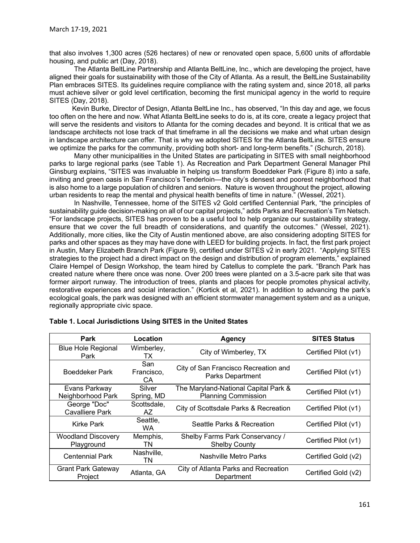that also involves 1,300 acres (526 hectares) of new or renovated open space, 5,600 units of affordable housing, and public art (Day, 2018).

The Atlanta BeltLine Partnership and Atlanta BeltLine, Inc., which are developing the project, have aligned their goals for sustainability with those of the City of Atlanta. As a result, the BeltLine Sustainability Plan embraces SITES. Its guidelines require compliance with the rating system and, since 2018, all parks must achieve silver or gold level certification, becoming the first municipal agency in the world to require SITES (Day, 2018).

 Kevin Burke, Director of Design, Atlanta BeltLine Inc., has observed, "In this day and age, we focus too often on the here and now. What Atlanta BeltLine seeks to do is, at its core, create a legacy project that will serve the residents and visitors to Atlanta for the coming decades and beyond. It is critical that we as landscape architects not lose track of that timeframe in all the decisions we make and what urban design in landscape architecture can offer. That is why we adopted SITES for the Atlanta BeltLine. SITES ensure we optimize the parks for the community, providing both short- and long-term benefits." (Schurch, 2018).

Many other municipalities in the United States are participating in SITES with small neighborhood parks to large regional parks (see Table 1). As Recreation and Park Department General Manager Phil Ginsburg explains, "SITES was invaluable in helping us transform Boeddeker Park (Figure 8) into a safe, inviting and green oasis in San Francisco's Tenderloin—the city's densest and poorest neighborhood that is also home to a large population of children and seniors. Nature is woven throughout the project, allowing urban residents to reap the mental and physical health benefits of time in nature." (Wessel, 2021).

In Nashville, Tennessee, home of the SITES v2 Gold certified Centennial Park, "the principles of sustainability guide decision-making on all of our capital projects," adds Parks and Recreation's Tim Netsch. "For landscape projects, SITES has proven to be a useful tool to help organize our sustainability strategy, ensure that we cover the full breadth of considerations, and quantify the outcomes." (Wessel, 2021). Additionally, more cities, like the City of Austin mentioned above, are also considering adopting SITES for parks and other spaces as they may have done with LEED for building projects. In fact, the first park project in Austin, Mary Elizabeth Branch Park (Figure 9), certified under SITES v2 in early 2021. "Applying SITES strategies to the project had a direct impact on the design and distribution of program elements," explained Claire Hempel of Design Workshop, the team hired by Catellus to complete the park. "Branch Park has created nature where there once was none. Over 200 trees were planted on a 3.5-acre park site that was former airport runway. The introduction of trees, plants and places for people promotes physical activity, restorative experiences and social interaction." (Kortick et al, 2021). In addition to advancing the park's ecological goals, the park was designed with an efficient stormwater management system and as a unique, regionally appropriate civic space.

| Park                                    | Location                | Agency                                                             | <b>SITES Status</b>  |
|-----------------------------------------|-------------------------|--------------------------------------------------------------------|----------------------|
| <b>Blue Hole Regional</b><br>Park       | Wimberley,<br>TХ        | City of Wimberley, TX                                              | Certified Pilot (v1) |
| <b>Boeddeker Park</b>                   | San<br>Francisco,<br>CA | City of San Francisco Recreation and<br>Parks Department           | Certified Pilot (v1) |
| Evans Parkway<br>Neighborhood Park      | Silver<br>Spring, MD    | The Maryland-National Capital Park &<br><b>Planning Commission</b> | Certified Pilot (v1) |
| George "Doc"<br><b>Cavalliere Park</b>  | Scottsdale,<br>AZ.      | City of Scottsdale Parks & Recreation                              | Certified Pilot (v1) |
| Kirke Park                              | Seattle,<br>WA.         | Seattle Parks & Recreation                                         | Certified Pilot (v1) |
| <b>Woodland Discovery</b><br>Playground | Memphis,<br>TN          | Shelby Farms Park Conservancy /<br><b>Shelby County</b>            | Certified Pilot (v1) |
| <b>Centennial Park</b>                  | Nashville,<br>TN        | Nashville Metro Parks                                              | Certified Gold (v2)  |
| <b>Grant Park Gateway</b><br>Project    | Atlanta, GA             | City of Atlanta Parks and Recreation<br>Department                 | Certified Gold (v2)  |

#### Table 1. Local Jurisdictions Using SITES in the United States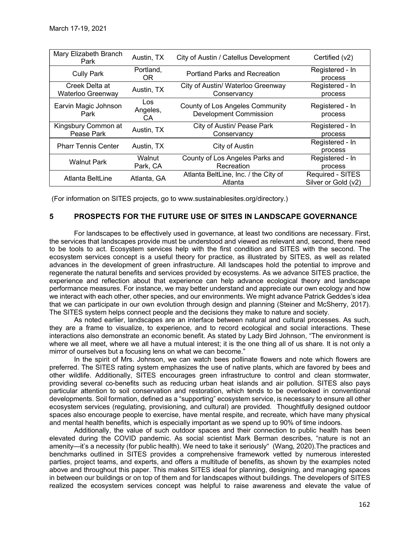| March 17-19, 2021                   |                        |                                                                  |                                         |
|-------------------------------------|------------------------|------------------------------------------------------------------|-----------------------------------------|
|                                     |                        |                                                                  |                                         |
| Mary Elizabeth Branch<br>Park       | Austin, TX             | City of Austin / Catellus Development                            | Certified (v2)                          |
| <b>Cully Park</b>                   | Portland,<br><b>OR</b> | Portland Parks and Recreation                                    | Registered - In<br>process              |
| Creek Delta at<br>Waterloo Greenway | Austin, TX             | City of Austin/ Waterloo Greenway<br>Conservancy                 | Registered - In<br>process              |
| Earvin Magic Johnson<br>Park        | Los<br>Angeles,<br>CA  | County of Los Angeles Community<br><b>Development Commission</b> | Registered - In<br>process              |
| Kingsbury Common at<br>Pease Park   | Austin, TX             | City of Austin/ Pease Park<br>Conservancy                        | Registered - In<br>process              |
|                                     | Austin, TX             | City of Austin                                                   | Registered - In<br>process              |
| <b>Pharr Tennis Center</b>          |                        | County of Los Angeles Parks and<br>Recreation                    | Registered - In<br>process              |
| <b>Walnut Park</b>                  | Walnut<br>Park, CA     |                                                                  |                                         |
| Atlanta BeltLine                    | Atlanta, GA            | Atlanta BeltLine, Inc. / the City of<br>Atlanta                  | Required - SITES<br>Silver or Gold (v2) |

# 5 PROSPECTS FOR THE FUTURE USE OF SITES IN LANDSCAPE GOVERNANCE

For landscapes to be effectively used in governance, at least two conditions are necessary. First, the services that landscapes provide must be understood and viewed as relevant and, second, there need to be tools to act. Ecosystem services help with the first condition and SITES with the second. The ecosystem services concept is a useful theory for practice, as illustrated by SITES, as well as related advances in the development of green infrastructure. All landscapes hold the potential to improve and regenerate the natural benefits and services provided by ecosystems. As we advance SITES practice, the experience and reflection about that experience can help advance ecological theory and landscape performance measures. For instance, we may better understand and appreciate our own ecology and how we interact with each other, other species, and our environments. We might advance Patrick Geddes's idea that we can participate in our own evolution through design and planning (Steiner and McSherry, 2017). The SITES system helps connect people and the decisions they make to nature and society.

As noted earlier, landscapes are an interface between natural and cultural processes. As such, they are a frame to visualize, to experience, and to record ecological and social interactions. These interactions also demonstrate an economic benefit. As stated by Lady Bird Johnson, "The environment is where we all meet, where we all have a mutual interest; it is the one thing all of us share. It is not only a mirror of ourselves but a focusing lens on what we can become."

In the spirit of Mrs. Johnson, we can watch bees pollinate flowers and note which flowers are preferred. The SITES rating system emphasizes the use of native plants, which are favored by bees and other wildlife. Additionally, SITES encourages green infrastructure to control and clean stormwater, providing several co-benefits such as reducing urban heat islands and air pollution. SITES also pays particular attention to soil conservation and restoration, which tends to be overlooked in conventional developments. Soil formation, defined as a "supporting" ecosystem service, is necessary to ensure all other ecosystem services (regulating, provisioning, and cultural) are provided. Thoughtfully designed outdoor spaces also encourage people to exercise, have mental respite, and recreate, which have many physical and mental health benefits, which is especially important as we spend up to 90% of time indoors.

Additionally, the value of such outdoor spaces and their connection to public health has been elevated during the COVID pandemic. As social scientist Mark Berman describes, "nature is not an amenity—it's a necessity (for public health). We need to take it seriously" (Wang, 2020).The practices and benchmarks outlined in SITES provides a comprehensive framework vetted by numerous interested parties, project teams, and experts, and offers a multitude of benefits, as shown by the examples noted above and throughout this paper. This makes SITES ideal for planning, designing, and managing spaces in between our buildings or on top of them and for landscapes without buildings. The developers of SITES realized the ecosystem services concept was helpful to raise awareness and elevate the value of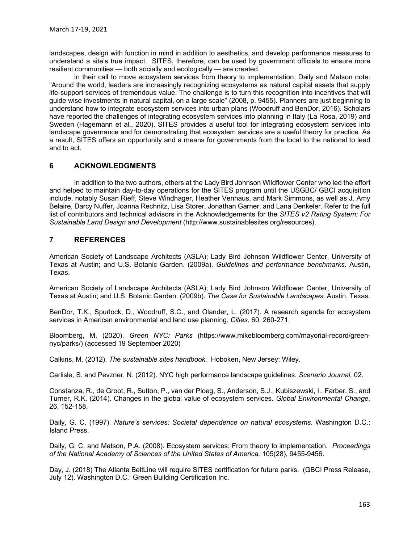landscapes, design with function in mind in addition to aesthetics, and develop performance measures to understand a site's true impact. SITES, therefore, can be used by government officials to ensure more resilient communities — both socially and ecologically — are created.

In their call to move ecosystem services from theory to implementation, Daily and Matson note: "Around the world, leaders are increasingly recognizing ecosystems as natural capital assets that supply life-support services of tremendous value. The challenge is to turn this recognition into incentives that will guide wise investments in natural capital, on a large scale" (2008, p. 9455). Planners are just beginning to understand how to integrate ecosystem services into urban plans (Woodruff and BenDor, 2016). Scholars have reported the challenges of integrating ecosystem services into planning in Italy (La Rosa, 2019) and Sweden (Hagemann et al., 2020). SITES provides a useful tool for integrating ecosystem services into landscape governance and for demonstrating that ecosystem services are a useful theory for practice. As a result, SITES offers an opportunity and a means for governments from the local to the national to lead and to act.

# 6 ACKNOWLEDGMENTS

In addition to the two authors, others at the Lady Bird Johnson Wildflower Center who led the effort and helped to maintain day-to-day operations for the SITES program until the USGBC/ GBCI acquisition include, notably Susan Rieff, Steve Windhager, Heather Venhaus, and Mark Simmons, as well as J. Amy Belaire, Darcy Nuffer, Joanna Rechnitz, Lisa Storer, Jonathan Garner, and Lana Denkeler. Refer to the full list of contributors and technical advisors in the Acknowledgements for the SITES v2 Rating System: For Sustainable Land Design and Development (http://www.sustainablesites.org/resources).

## 7 REFERENCES

American Society of Landscape Architects (ASLA); Lady Bird Johnson Wildflower Center, University of Texas at Austin; and U.S. Botanic Garden. (2009a). Guidelines and performance benchmarks. Austin, Texas.

American Society of Landscape Architects (ASLA); Lady Bird Johnson Wildflower Center, University of Texas at Austin; and U.S. Botanic Garden. (2009b). The Case for Sustainable Landscapes. Austin, Texas.

BenDor, T.K., Spurlock, D., Woodruff, S.C., and Olander, L. (2017). A research agenda for ecosystem services in American environmental and land use planning. Cities, 60, 260-271.

Bloomberg, M. (2020). Green NYC: Parks (https://www.mikebloomberg.com/mayorial-record/greennyc/parks/) (accessed 19 September 2020)

Calkins, M. (2012). The sustainable sites handbook. Hoboken, New Jersey: Wiley.

Carlisle, S. and Pevzner, N. (2012). NYC high performance landscape guidelines. Scenario Journal, 02.

Constanza, R., de Groot, R., Sutton, P., van der Ploeg, S., Anderson, S.J., Kubiszewski, I., Farber, S., and Turner, R.K. (2014). Changes in the global value of ecosystem services. Global Environmental Change, 26, 152-158.

Daily, G. C. (1997). Nature's services: Societal dependence on natural ecosystems. Washington D.C.: Island Press.

Daily, G. C. and Matson, P.A. (2008). Ecosystem services: From theory to implementation. Proceedings of the National Academy of Sciences of the United States of America, 105(28), 9455-9456.

Day, J. (2018) The Atlanta BeltLine will require SITES certification for future parks. (GBCI Press Release, July 12). Washington D.C.: Green Building Certification Inc.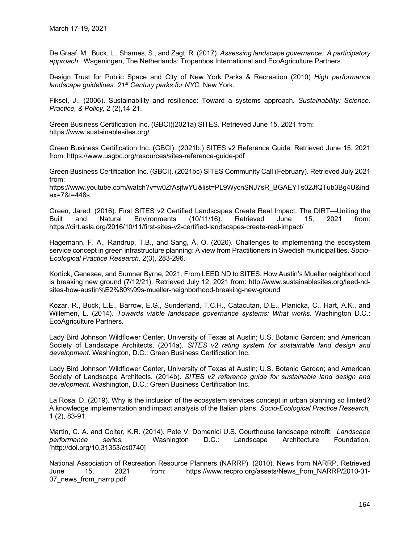De Graaf, M., Buck, L., Shames, S., and Zagt, R. (2017). Assessing landscape governance: A participatory approach. Wageningen, The Netherlands: Tropenbos International and EcoAgriculture Partners.

Design Trust for Public Space and City of New York Parks & Recreation (2010) High performance landscape quidelines: 21<sup>st</sup> Century parks for NYC. New York.

Fiksel, J., (2006). Sustainability and resilience: Toward a systems approach. Sustainability: Science, Practice, & Policy, 2 (2),14-21.

Green Business Certification Inc. (GBCI)(2021a) SITES. Retrieved June 15, 2021 from: https://www.sustainablesites.org/

Green Business Certification Inc. (GBCI). (2021b.) SITES v2 Reference Guide. Retrieved June 15, 2021 from: https://www.usgbc.org/resources/sites-reference-guide-pdf

Green Business Certification Inc. (GBCI). (2021bc) SITES Community Call (February). Retrieved July 2021 from:

https://www.youtube.com/watch?v=w0ZfAsjfwYU&list=PL9WycnSNJ7sR\_BGAEYTs02JfQTub3Bg4U&ind ex=7&t=448s

Green, Jared. (2016). First SITES v2 Certified Landscapes Create Real Impact. The DIRT—Uniting the Built and Natural Environments (10/11/16). Retrieved June 15, 2021 from: https://dirt.asla.org/2016/10/11/first-sites-v2-certified-landscapes-create-real-impact/

Hagemann, F. A., Randrup, T.B., and Sang, Å. O. (2020). Challenges to implementing the ecosystem service concept in green infrastructure planning: A view from Practitioners in Swedish municipalities. Socio-Ecological Practice Research, 2(3), 283-296.

Kortick, Genesee, and Sumner Byrne, 2021. From LEED ND to SITES: How Austin's Mueller neighborhood is breaking new ground (7/12/21). Retrieved July 12, 2021 from: http://www.sustainablesites.org/leed-ndsites-how-austin%E2%80%99s-mueller-neighborhood-breaking-new-ground

Kozar, R., Buck, L.E., Barrow, E.G., Sunderland, T.C.H., Catacutan, D.E., Planicka, C., Hart, A.K., and Willemen, L. (2014). Towards viable landscape governance systems: What works. Washington D.C.: EcoAgriculture Partners.

Lady Bird Johnson Wildflower Center, University of Texas at Austin; U.S. Botanic Garden; and American Society of Landscape Architects. (2014a). SITES v2 rating system for sustainable land design and development. Washington, D.C.: Green Business Certification Inc.

Lady Bird Johnson Wildflower Center, University of Texas at Austin; U.S. Botanic Garden; and American Society of Landscape Architects. (2014b). SITES v2 reference guide for sustainable land design and development. Washington, D.C.: Green Business Certification Inc.

La Rosa, D. (2019). Why is the inclusion of the ecosystem services concept in urban planning so limited? A knowledge implementation and impact analysis of the Italian plans. Socio-Ecological Practice Research, 1 (2), 83-91.

Martin, C. A. and Colter, K.R. (2014). Pete V. Domenici U.S. Courthouse landscape retrofit. Landscape performance series. Washington D.C.: Landscape Architecture Foundation. [http://doi.org/10.31353/cs0740]

National Association of Recreation Resource Planners (NARRP). (2010). News from NARRP. Retrieved<br>June 15, 2021 from: https://www.recpro.org/assets/News from NARRP/2010-01-June 15, 2021 from: https://www.recpro.org/assets/News\_from\_NARRP/2010-01- 07 news from narrp.pdf